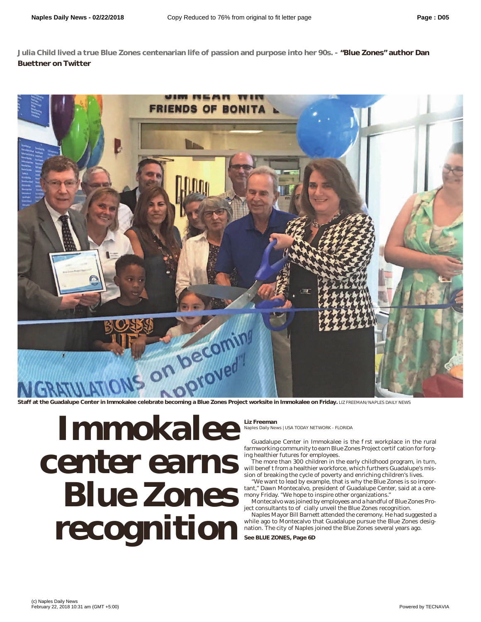**Julia Child lived a true Blue Zones centenarian life of passion and purpose into her 90s. - "Blue Zones" author Dan Buettner on Twitter**



## **Immokalee Blue Zones recogniti recognition**

**Liz Freeman**

Naples Daily News | USA TODAY NETWORK - FLORIDA

Guadalupe Center in Immokalee is the rst workplace in the rural farmworking community to earn Blue Zones Project certi cation for forging healthier futures for employees.

The more than 300 children in the early childhood program, in turn, will bene t from a healthier workforce, which furthers Guadalupe's mission of breaking the cycle of poverty and enriching children's lives.

"We want to lead by example, that is why the Blue Zones is so important," Dawn Montecalvo, president of Guadalupe Center, said at a ceremony Friday. "We hope to inspire other organizations."

Montecalvo was joined by employees and a handful of Blue Zones Pro $ject$  consultants to  $o$  cially unveil the Blue Zones recognition.

Naples Mayor Bill Barnett attended the ceremony. He had suggested a while ago to Montecalvo that Guadalupe pursue the Blue Zones designation. The city of Naples joined the Blue Zones several years ago.

**See BLUE ZONES, Page 6D**